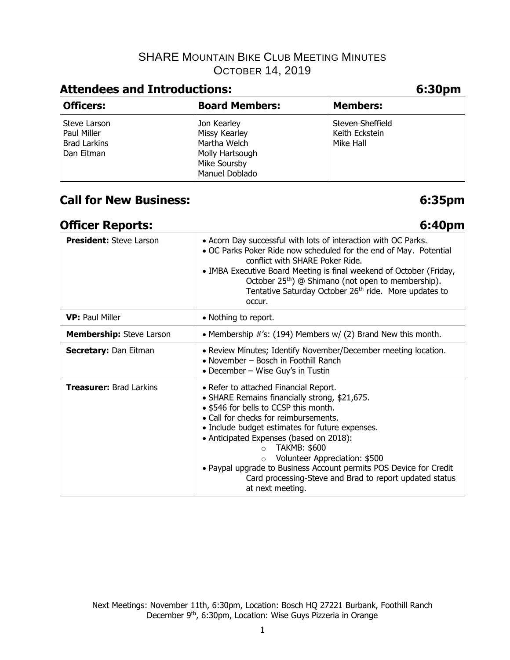# **Attendees and Introductions: 6:30pm**

| <b>Officers:</b>                                                 | <b>Board Members:</b>                                                                                           | <b>Members:</b>                                        |
|------------------------------------------------------------------|-----------------------------------------------------------------------------------------------------------------|--------------------------------------------------------|
| Steve Larson<br>Paul Miller<br><b>Brad Larkins</b><br>Dan Eitman | Jon Kearley<br><b>Missy Kearley</b><br>Martha Welch<br>Molly Hartsough<br>Mike Soursby<br><b>Manuel Doblado</b> | <b>Steven Sheffield</b><br>Keith Eckstein<br>Mike Hall |

# **Call for New Business: 6:35pm**

## **Officer Reports: 6:40pm**

| <b>President:</b> Steve Larson  | • Acorn Day successful with lots of interaction with OC Parks.<br>. OC Parks Poker Ride now scheduled for the end of May. Potential<br>conflict with SHARE Poker Ride.<br>• IMBA Executive Board Meeting is final weekend of October (Friday,<br>October 25 <sup>th</sup> ) @ Shimano (not open to membership).<br>Tentative Saturday October 26 <sup>th</sup> ride. More updates to<br>occur.                                                                                                     |
|---------------------------------|----------------------------------------------------------------------------------------------------------------------------------------------------------------------------------------------------------------------------------------------------------------------------------------------------------------------------------------------------------------------------------------------------------------------------------------------------------------------------------------------------|
| <b>VP: Paul Miller</b>          | • Nothing to report.                                                                                                                                                                                                                                                                                                                                                                                                                                                                               |
| <b>Membership:</b> Steve Larson | • Membership $\#$ 's: (194) Members w/ (2) Brand New this month.                                                                                                                                                                                                                                                                                                                                                                                                                                   |
| <b>Secretary: Dan Eitman</b>    | • Review Minutes; Identify November/December meeting location.<br>• November – Bosch in Foothill Ranch<br>• December – Wise Guy's in Tustin                                                                                                                                                                                                                                                                                                                                                        |
| <b>Treasurer: Brad Larkins</b>  | • Refer to attached Financial Report.<br>• SHARE Remains financially strong, \$21,675.<br>• \$546 for bells to CCSP this month.<br>• Call for checks for reimbursements.<br>• Include budget estimates for future expenses.<br>• Anticipated Expenses (based on 2018):<br>TAKMB: \$600<br>$\circ$<br>Volunteer Appreciation: \$500<br>$\circ$<br>• Paypal upgrade to Business Account permits POS Device for Credit<br>Card processing-Steve and Brad to report updated status<br>at next meeting. |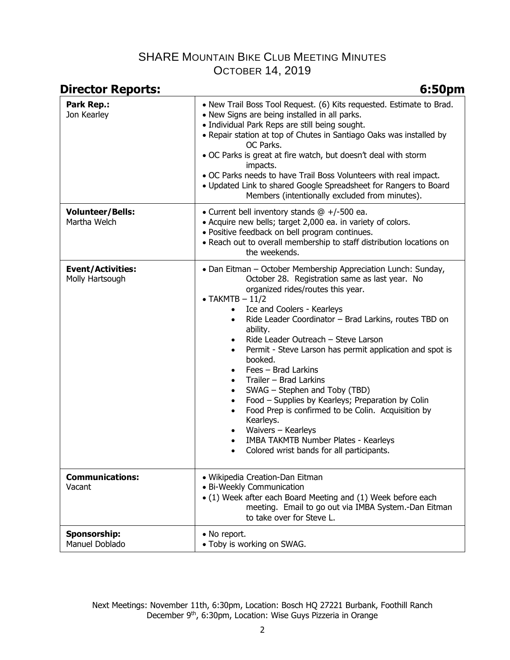| <b>Director Reports:</b>                    | 6:50pm                                                                                                                                                                                                                                                                                                                                                                                                                                                                                                                                                                                                                                                                                                                                                                                                                                                                            |  |
|---------------------------------------------|-----------------------------------------------------------------------------------------------------------------------------------------------------------------------------------------------------------------------------------------------------------------------------------------------------------------------------------------------------------------------------------------------------------------------------------------------------------------------------------------------------------------------------------------------------------------------------------------------------------------------------------------------------------------------------------------------------------------------------------------------------------------------------------------------------------------------------------------------------------------------------------|--|
| <b>Park Rep.:</b><br>Jon Kearley            | • New Trail Boss Tool Request. (6) Kits requested. Estimate to Brad.<br>• New Signs are being installed in all parks.<br>• Individual Park Reps are still being sought.<br>• Repair station at top of Chutes in Santiago Oaks was installed by<br>OC Parks.<br>. OC Parks is great at fire watch, but doesn't deal with storm<br>impacts.<br>. OC Parks needs to have Trail Boss Volunteers with real impact.<br>. Updated Link to shared Google Spreadsheet for Rangers to Board<br>Members (intentionally excluded from minutes).                                                                                                                                                                                                                                                                                                                                               |  |
| <b>Volunteer/Bells:</b><br>Martha Welch     | • Current bell inventory stands $@ +/-500$ ea.<br>• Acquire new bells; target 2,000 ea. in variety of colors.<br>· Positive feedback on bell program continues.<br>• Reach out to overall membership to staff distribution locations on<br>the weekends.                                                                                                                                                                                                                                                                                                                                                                                                                                                                                                                                                                                                                          |  |
| <b>Event/Activities:</b><br>Molly Hartsough | • Dan Eitman – October Membership Appreciation Lunch: Sunday,<br>October 28. Registration same as last year. No<br>organized rides/routes this year.<br>$\bullet$ TAKMTB - 11/2<br>Ice and Coolers - Kearleys<br>$\bullet$<br>Ride Leader Coordinator - Brad Larkins, routes TBD on<br>$\bullet$<br>ability.<br>Ride Leader Outreach - Steve Larson<br>$\bullet$<br>Permit - Steve Larson has permit application and spot is<br>$\bullet$<br>booked.<br>Fees - Brad Larkins<br>$\bullet$<br>Trailer - Brad Larkins<br>$\bullet$<br>SWAG - Stephen and Toby (TBD)<br>$\bullet$<br>Food - Supplies by Kearleys; Preparation by Colin<br>$\bullet$<br>Food Prep is confirmed to be Colin. Acquisition by<br>$\bullet$<br>Kearleys.<br>Waivers - Kearleys<br>$\bullet$<br>IMBA TAKMTB Number Plates - Kearleys<br>$\bullet$<br>Colored wrist bands for all participants.<br>$\bullet$ |  |
| <b>Communications:</b><br>Vacant            | · Wikipedia Creation-Dan Eitman<br>• Bi-Weekly Communication<br>• (1) Week after each Board Meeting and (1) Week before each<br>meeting. Email to go out via IMBA System.-Dan Eitman<br>to take over for Steve L.                                                                                                                                                                                                                                                                                                                                                                                                                                                                                                                                                                                                                                                                 |  |
| Sponsorship:<br>Manuel Doblado              | • No report.<br>• Toby is working on SWAG.                                                                                                                                                                                                                                                                                                                                                                                                                                                                                                                                                                                                                                                                                                                                                                                                                                        |  |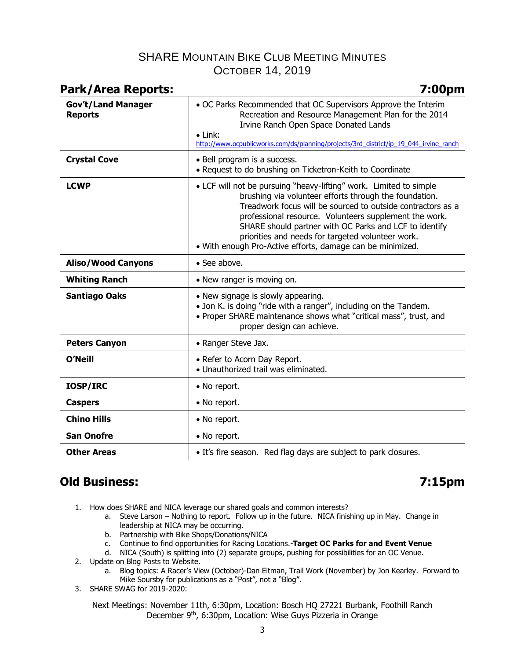| <b>Park/Area Reports:</b>                   | 7:00pm                                                                                                                                                                                                                                                                                                                                                                                                                             |  |
|---------------------------------------------|------------------------------------------------------------------------------------------------------------------------------------------------------------------------------------------------------------------------------------------------------------------------------------------------------------------------------------------------------------------------------------------------------------------------------------|--|
| <b>Gov't/Land Manager</b><br><b>Reports</b> | . OC Parks Recommended that OC Supervisors Approve the Interim<br>Recreation and Resource Management Plan for the 2014<br>Irvine Ranch Open Space Donated Lands<br>$\bullet$ Link:<br>http://www.ocpublicworks.com/ds/planning/projects/3rd_district/ip_19_044_irvine_ranch                                                                                                                                                        |  |
| <b>Crystal Cove</b>                         | • Bell program is a success.<br>• Request to do brushing on Ticketron-Keith to Coordinate                                                                                                                                                                                                                                                                                                                                          |  |
| <b>LCWP</b>                                 | • LCF will not be pursuing "heavy-lifting" work. Limited to simple<br>brushing via volunteer efforts through the foundation.<br>Treadwork focus will be sourced to outside contractors as a<br>professional resource. Volunteers supplement the work.<br>SHARE should partner with OC Parks and LCF to identify<br>priorities and needs for targeted volunteer work.<br>. With enough Pro-Active efforts, damage can be minimized. |  |
| <b>Aliso/Wood Canyons</b>                   | • See above.                                                                                                                                                                                                                                                                                                                                                                                                                       |  |
| <b>Whiting Ranch</b>                        | • New ranger is moving on.                                                                                                                                                                                                                                                                                                                                                                                                         |  |
| <b>Santiago Oaks</b>                        | • New signage is slowly appearing.<br>• Jon K. is doing "ride with a ranger", including on the Tandem.<br>• Proper SHARE maintenance shows what "critical mass", trust, and<br>proper design can achieve.                                                                                                                                                                                                                          |  |
| <b>Peters Canyon</b>                        | • Ranger Steve Jax.                                                                                                                                                                                                                                                                                                                                                                                                                |  |
| <b>O'Neill</b>                              | • Refer to Acorn Day Report.<br>• Unauthorized trail was eliminated.                                                                                                                                                                                                                                                                                                                                                               |  |
| <b>IOSP/IRC</b>                             | • No report.                                                                                                                                                                                                                                                                                                                                                                                                                       |  |
| <b>Caspers</b>                              | • No report.                                                                                                                                                                                                                                                                                                                                                                                                                       |  |
| <b>Chino Hills</b>                          | • No report.                                                                                                                                                                                                                                                                                                                                                                                                                       |  |
| <b>San Onofre</b>                           | • No report.                                                                                                                                                                                                                                                                                                                                                                                                                       |  |
| <b>Other Areas</b>                          | • It's fire season. Red flag days are subject to park closures.                                                                                                                                                                                                                                                                                                                                                                    |  |

# **Old Business: 7:15pm**

- 1. How does SHARE and NICA leverage our shared goals and common interests?
	- a. Steve Larson Nothing to report. Follow up in the future. NICA finishing up in May. Change in leadership at NICA may be occurring.
		- b. Partnership with Bike Shops/Donations/NICA
		- c. Continue to find opportunities for Racing Locations.-**Target OC Parks for and Event Venue**
		- d. NICA (South) is splitting into (2) separate groups, pushing for possibilities for an OC Venue.
- 2. Update on Blog Posts to Website.
	- a. Blog topics: A Racer's View (October)-Dan Eitman, Trail Work (November) by Jon Kearley. Forward to Mike Soursby for publications as a "Post", not a "Blog".
- 3. SHARE SWAG for 2019-2020:

Next Meetings: November 11th, 6:30pm, Location: Bosch HQ 27221 Burbank, Foothill Ranch December 9th, 6:30pm, Location: Wise Guys Pizzeria in Orange